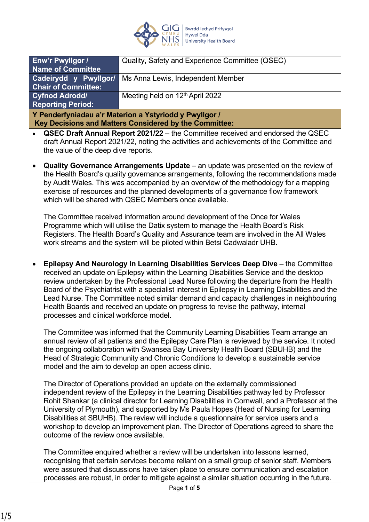

| Quality, Safety and Experience Committee (QSEC)            |  |
|------------------------------------------------------------|--|
|                                                            |  |
| Cadeirydd y Pwyllgor/<br>Ms Anna Lewis, Independent Member |  |
|                                                            |  |
| Meeting held on 12 <sup>th</sup> April 2022                |  |
|                                                            |  |
| Y Penderfyniadau a'r Materion a Ystyriodd y Pwyllgor /     |  |
|                                                            |  |

 **Key Decisions and Matters Considered by the Committee:**

- **QSEC Draft Annual Report 2021/22** the Committee received and endorsed the QSEC draft Annual Report 2021/22, noting the activities and achievements of the Committee and the value of the deep dive reports.
- **Quality Governance Arrangements Update** an update was presented on the review of the Health Board's quality governance arrangements, following the recommendations made by Audit Wales. This was accompanied by an overview of the methodology for a mapping exercise of resources and the planned developments of a governance flow framework which will be shared with QSEC Members once available.

The Committee received information around development of the Once for Wales Programme which will utilise the Datix system to manage the Health Board's Risk Registers. The Health Board's Quality and Assurance team are involved in the All Wales work streams and the system will be piloted within Betsi Cadwaladr UHB.

• **Epilepsy And Neurology In Learning Disabilities Services Deep Dive** – the Committee received an update on Epilepsy within the Learning Disabilities Service and the desktop review undertaken by the Professional Lead Nurse following the departure from the Health Board of the Psychiatrist with a specialist interest in Epilepsy in Learning Disabilities and the Lead Nurse. The Committee noted similar demand and capacity challenges in neighbouring Health Boards and received an update on progress to revise the pathway, internal processes and clinical workforce model.

The Committee was informed that the Community Learning Disabilities Team arrange an annual review of all patients and the Epilepsy Care Plan is reviewed by the service. It noted the ongoing collaboration with Swansea Bay University Health Board (SBUHB) and the Head of Strategic Community and Chronic Conditions to develop a sustainable service model and the aim to develop an open access clinic.

The Director of Operations provided an update on the externally commissioned independent review of the Epilepsy in the Learning Disabilities pathway led by Professor Rohit Shankar (a clinical director for Learning Disabilities in Cornwall, and a Professor at the University of Plymouth), and supported by Ms Paula Hopes (Head of Nursing for Learning Disabilities at SBUHB). The review will include a questionnaire for service users and a workshop to develop an improvement plan. The Director of Operations agreed to share the outcome of the review once available.

The Committee enquired whether a review will be undertaken into lessons learned, recognising that certain services become reliant on a small group of senior staff. Members were assured that discussions have taken place to ensure communication and escalation processes are robust, in order to mitigate against a similar situation occurring in the future.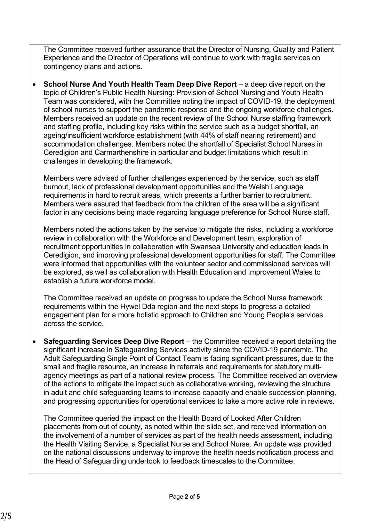The Committee received further assurance that the Director of Nursing, Quality and Patient Experience and the Director of Operations will continue to work with fragile services on contingency plans and actions.

• **School Nurse And Youth Health Team Deep Dive Report** – a deep dive report on the topic of Children's Public Health Nursing: Provision of School Nursing and Youth Health Team was considered, with the Committee noting the impact of COVID-19, the deployment of school nurses to support the pandemic response and the ongoing workforce challenges. Members received an update on the recent review of the School Nurse staffing framework and staffing profile, including key risks within the service such as a budget shortfall, an ageing/insufficient workforce establishment (with 44% of staff nearing retirement) and accommodation challenges. Members noted the shortfall of Specialist School Nurses in Ceredigion and Carmarthenshire in particular and budget limitations which result in challenges in developing the framework.

Members were advised of further challenges experienced by the service, such as staff burnout, lack of professional development opportunities and the Welsh Language requirements in hard to recruit areas, which presents a further barrier to recruitment. Members were assured that feedback from the children of the area will be a significant factor in any decisions being made regarding language preference for School Nurse staff.

Members noted the actions taken by the service to mitigate the risks, including a workforce review in collaboration with the Workforce and Development team, exploration of recruitment opportunities in collaboration with Swansea University and education leads in Ceredigion, and improving professional development opportunities for staff. The Committee were informed that opportunities with the volunteer sector and commissioned services will be explored, as well as collaboration with Health Education and Improvement Wales to establish a future workforce model.

The Committee received an update on progress to update the School Nurse framework requirements within the Hywel Dda region and the next steps to progress a detailed engagement plan for a more holistic approach to Children and Young People's services across the service.

• **Safeguarding Services Deep Dive Report** – the Committee received a report detailing the significant increase in Safeguarding Services activity since the COVID-19 pandemic. The Adult Safeguarding Single Point of Contact Team is facing significant pressures, due to the small and fragile resource, an increase in referrals and requirements for statutory multiagency meetings as part of a national review process. The Committee received an overview of the actions to mitigate the impact such as collaborative working, reviewing the structure in adult and child safeguarding teams to increase capacity and enable succession planning, and progressing opportunities for operational services to take a more active role in reviews.

The Committee queried the impact on the Health Board of Looked After Children placements from out of county, as noted within the slide set, and received information on the involvement of a number of services as part of the health needs assessment, including the Health Visiting Service, a Specialist Nurse and School Nurse. An update was provided on the national discussions underway to improve the health needs notification process and the Head of Safeguarding undertook to feedback timescales to the Committee.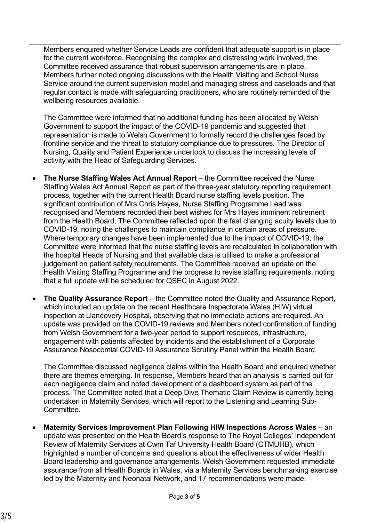Members enquired whether Service Leads are confident that adequate support is in place for the current workforce. Recognising the complex and distressing work involved, the Committee received assurance that robust supervision arrangements are in place. Members further noted ongoing discussions with the Health Visiting and School Nurse Service around the current supervision model and managing stress and caseloads and that regular contact is made with safeguarding practitioners, who are routinely reminded of the wellbeing resources available.

The Committee were informed that no additional funding has been allocated by Welsh Government to support the impact of the COVID-19 pandemic and suggested that representation is made to Welsh Government to formally record the challenges faced by frontline service and the threat to statutory compliance due to pressures. The Director of Nursing, Quality and Patient Experience undertook to discuss the increasing levels of activity with the Head of Safeguarding Services.

- **The Nurse Staffing Wales Act Annual Report** the Committee received the Nurse Staffing Wales Act Annual Report as part of the three-year statutory reporting requirement process, together with the current Health Board nurse staffing levels position. The significant contribution of Mrs Chris Hayes, Nurse Staffing Programme Lead was recognised and Members recorded their best wishes for Mrs Hayes imminent retirement from the Health Board. The Committee reflected upon the fast changing acuity levels due to COVID-19, noting the challenges to maintain compliance in certain areas of pressure. Where temporary changes have been implemented due to the impact of COVID-19, the Committee were informed that the nurse staffing levels are recalculated in collaboration with the hospital Heads of Nursing and that available data is utilised to make a professional judgement on patient safety requirements. The Committee received an update on the Health Visiting Staffing Programme and the progress to revise staffing requirements, noting that a full update will be scheduled for QSEC in August 2022.
- **The Quality Assurance Report** the Committee noted the Quality and Assurance Report, which included an update on the recent Healthcare Inspectorate Wales (HIW) virtual inspection at Llandovery Hospital, observing that no immediate actions are required. An update was provided on the COVID-19 reviews and Members noted confirmation of funding from Welsh Government for a two-year period to support resources, infrastructure, engagement with patients affected by incidents and the establishment of a Corporate Assurance Nosocomial COVID-19 Assurance Scrutiny Panel within the Health Board.

The Committee discussed negligence claims within the Health Board and enquired whether there are themes emerging. In response, Members heard that an analysis is carried out for each negligence claim and noted development of a dashboard system as part of the process. The Committee noted that a Deep Dive Thematic Claim Review is currently being undertaken in Maternity Services, which will report to the Listening and Learning Sub-Committee.

• **Maternity Services Improvement Plan Following HIW Inspections Across Wales** – an update was presented on the Health Board's response to The Royal Colleges' Independent Review of Maternity Services at Cwm Taf University Health Board (CTMUHB), which highlighted a number of concerns and questions about the effectiveness of wider Health Board leadership and governance arrangements. Welsh Government requested immediate assurance from all Health Boards in Wales, via a Maternity Services benchmarking exercise led by the Maternity and Neonatal Network, and 17 recommendations were made.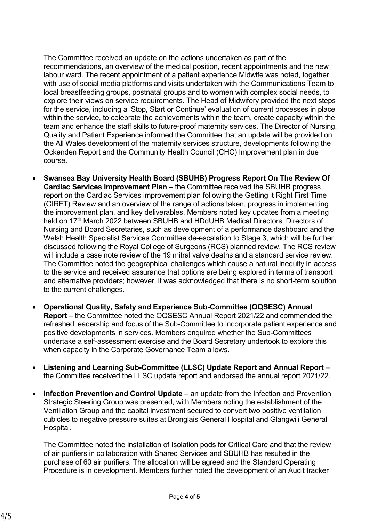The Committee received an update on the actions undertaken as part of the recommendations, an overview of the medical position, recent appointments and the new labour ward. The recent appointment of a patient experience Midwife was noted, together with use of social media platforms and visits undertaken with the Communications Team to local breastfeeding groups, postnatal groups and to women with complex social needs, to explore their views on service requirements. The Head of Midwifery provided the next steps for the service, including a 'Stop, Start or Continue' evaluation of current processes in place within the service, to celebrate the achievements within the team, create capacity within the team and enhance the staff skills to future-proof maternity services. The Director of Nursing, Quality and Patient Experience informed the Committee that an update will be provided on the All Wales development of the maternity services structure, developments following the Ockenden Report and the Community Health Council (CHC) Improvement plan in due course.

- **Swansea Bay University Health Board (SBUHB) Progress Report On The Review Of Cardiac Services Improvement Plan** – the Committee received the SBUHB progress report on the Cardiac Services improvement plan following the Getting it Right First Time (GIRFT) Review and an overview of the range of actions taken, progress in implementing the improvement plan, and key deliverables. Members noted key updates from a meeting held on 17<sup>th</sup> March 2022 between SBUHB and HDdUHB Medical Directors, Directors of Nursing and Board Secretaries, such as development of a performance dashboard and the Welsh Health Specialist Services Committee de-escalation to Stage 3, which will be further discussed following the Royal College of Surgeons (RCS) planned review. The RCS review will include a case note review of the 19 mitral valve deaths and a standard service review. The Committee noted the geographical challenges which cause a natural inequity in access to the service and received assurance that options are being explored in terms of transport and alternative providers; however, it was acknowledged that there is no short-term solution to the current challenges.
- **Operational Quality, Safety and Experience Sub-Committee (OQSESC) Annual Report** – the Committee noted the OQSESC Annual Report 2021/22 and commended the refreshed leadership and focus of the Sub-Committee to incorporate patient experience and positive developments in services. Members enquired whether the Sub-Committees undertake a self-assessment exercise and the Board Secretary undertook to explore this when capacity in the Corporate Governance Team allows.
- **Listening and Learning Sub-Committee (LLSC) Update Report and Annual Report** the Committee received the LLSC update report and endorsed the annual report 2021/22.
- **Infection Prevention and Control Update** an update from the Infection and Prevention Strategic Steering Group was presented, with Members noting the establishment of the Ventilation Group and the capital investment secured to convert two positive ventilation cubicles to negative pressure suites at Bronglais General Hospital and Glangwili General Hospital.

The Committee noted the installation of Isolation pods for Critical Care and that the review of air purifiers in collaboration with Shared Services and SBUHB has resulted in the purchase of 60 air purifiers. The allocation will be agreed and the Standard Operating Procedure is in development. Members further noted the development of an Audit tracker